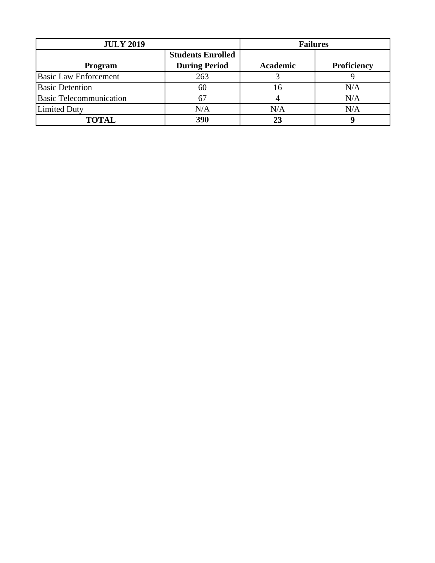| <b>JULY 2019</b>               |                          | <b>Failures</b> |             |
|--------------------------------|--------------------------|-----------------|-------------|
|                                | <b>Students Enrolled</b> |                 |             |
| Program                        | <b>During Period</b>     | <b>Academic</b> | Proficiency |
| <b>Basic Law Enforcement</b>   | 263                      |                 |             |
| <b>Basic Detention</b>         | 60                       |                 | N/A         |
| <b>Basic Telecommunication</b> | 67                       |                 | N/A         |
| <b>Limited Duty</b>            | N/A                      | N/A             | N/A         |
| <b>TOTAL</b>                   | 390                      |                 |             |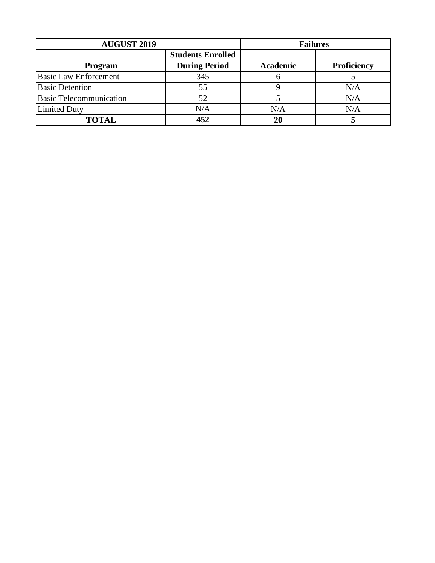| <b>AUGUST 2019</b>             |                          | <b>Failures</b> |                    |
|--------------------------------|--------------------------|-----------------|--------------------|
|                                | <b>Students Enrolled</b> |                 |                    |
| <b>Program</b>                 | <b>During Period</b>     | Academic        | <b>Proficiency</b> |
| <b>Basic Law Enforcement</b>   | 345                      |                 |                    |
| <b>Basic Detention</b>         | 55                       |                 | N/A                |
| <b>Basic Telecommunication</b> | 52                       |                 | N/A                |
| <b>Limited Duty</b>            | N/A                      | N/A             | N/A                |
| <b>TOTAL</b>                   | 452                      |                 |                    |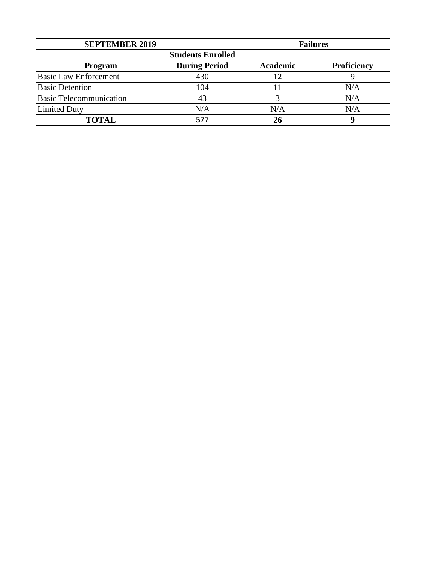| <b>SEPTEMBER 2019</b>          |                          | <b>Failures</b> |             |
|--------------------------------|--------------------------|-----------------|-------------|
|                                | <b>Students Enrolled</b> |                 |             |
| <b>Program</b>                 | <b>During Period</b>     | <b>Academic</b> | Proficiency |
| <b>Basic Law Enforcement</b>   | 430                      |                 |             |
| <b>Basic Detention</b>         | 104                      |                 | N/A         |
| <b>Basic Telecommunication</b> | 43                       |                 | N/A         |
| <b>Limited Duty</b>            | N/A                      | N/A             | N/A         |
| TOTAL                          | 577                      |                 |             |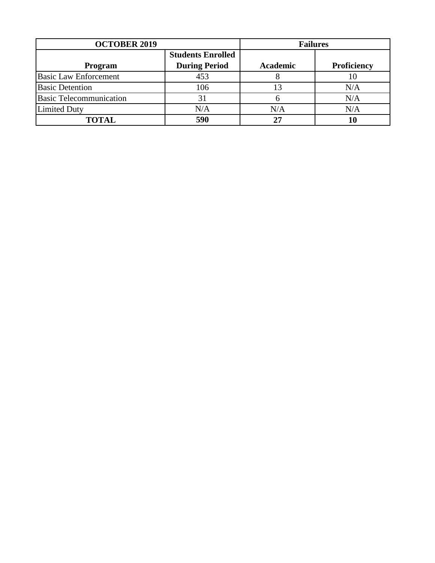| <b>OCTOBER 2019</b>            |                          | <b>Failures</b> |             |
|--------------------------------|--------------------------|-----------------|-------------|
|                                | <b>Students Enrolled</b> |                 |             |
| Program                        | <b>During Period</b>     | <b>Academic</b> | Proficiency |
| <b>Basic Law Enforcement</b>   | 453                      |                 | 10          |
| <b>Basic Detention</b>         | 106                      |                 | N/A         |
| <b>Basic Telecommunication</b> |                          |                 | N/A         |
| <b>Limited Duty</b>            | N/A                      | N/A             | N/A         |
| TOTAL                          | 590                      |                 |             |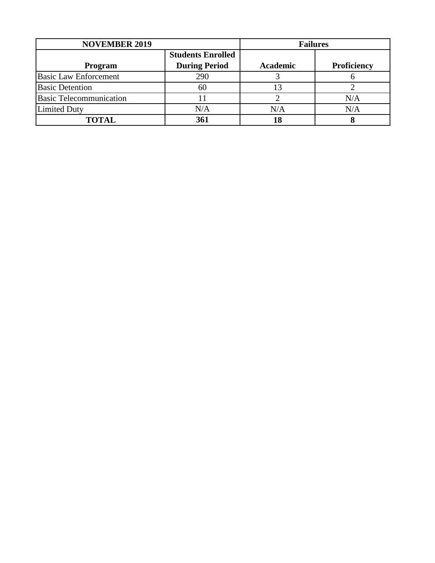| <b>NOVEMBER 2019</b>           |                          | <b>Failures</b> |                    |
|--------------------------------|--------------------------|-----------------|--------------------|
|                                | <b>Students Enrolled</b> |                 |                    |
| Program                        | <b>During Period</b>     | <b>Academic</b> | <b>Proficiency</b> |
| <b>Basic Law Enforcement</b>   | 290                      |                 |                    |
| <b>Basic Detention</b>         | 60                       |                 |                    |
| <b>Basic Telecommunication</b> |                          |                 | N/A                |
| <b>Limited Duty</b>            | N/A                      | N/A             | N/A                |
| <b>TOTAL</b>                   | 361                      |                 |                    |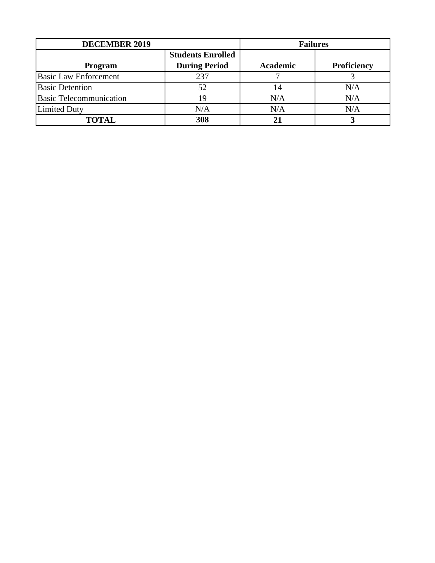| <b>DECEMBER 2019</b>           |                          | <b>Failures</b> |                    |
|--------------------------------|--------------------------|-----------------|--------------------|
|                                | <b>Students Enrolled</b> |                 |                    |
| Program                        | <b>During Period</b>     | <b>Academic</b> | <b>Proficiency</b> |
| <b>Basic Law Enforcement</b>   | 237                      |                 |                    |
| <b>Basic Detention</b>         | 52                       |                 | N/A                |
| <b>Basic Telecommunication</b> | 19                       | N/A             | N/A                |
| <b>Limited Duty</b>            | N/A                      | N/A             | N/A                |
| <b>TOTAL</b>                   | 308                      |                 |                    |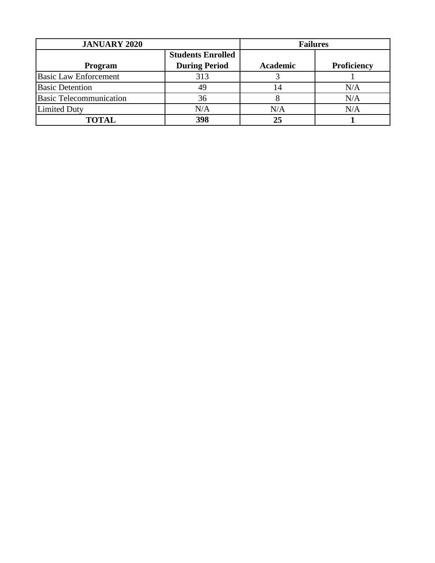| <b>JANUARY 2020</b>            |                          | <b>Failures</b> |                    |
|--------------------------------|--------------------------|-----------------|--------------------|
|                                | <b>Students Enrolled</b> |                 |                    |
| Program                        | <b>During Period</b>     | <b>Academic</b> | <b>Proficiency</b> |
| <b>Basic Law Enforcement</b>   | 313                      |                 |                    |
| <b>Basic Detention</b>         | 49                       |                 | N/A                |
| <b>Basic Telecommunication</b> | 36                       |                 | N/A                |
| <b>Limited Duty</b>            | N/A                      | N/A             | N/A                |
| <b>TOTAL</b>                   | 398                      | 25              |                    |